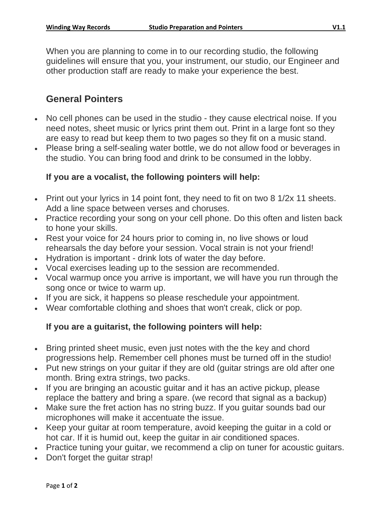When you are planning to come in to our recording studio, the following guidelines will ensure that you, your instrument, our studio, our Engineer and other production staff are ready to make your experience the best.

## **General Pointers**

- No cell phones can be used in the studio they cause electrical noise. If you need notes, sheet music or lyrics print them out. Print in a large font so they are easy to read but keep them to two pages so they fit on a music stand.
- Please bring a self-sealing water bottle, we do not allow food or beverages in the studio. You can bring food and drink to be consumed in the lobby.

#### **If you are a vocalist, the following pointers will help:**

- Print out your lyrics in 14 point font, they need to fit on two 8 1/2x 11 sheets. Add a line space between verses and choruses.
- Practice recording your song on your cell phone. Do this often and listen back to hone your skills.
- Rest your voice for 24 hours prior to coming in, no live shows or loud rehearsals the day before your session. Vocal strain is not your friend!
- Hydration is important drink lots of water the day before.
- Vocal exercises leading up to the session are recommended.
- Vocal warmup once you arrive is important, we will have you run through the song once or twice to warm up.
- If you are sick, it happens so please reschedule your appointment.
- Wear comfortable clothing and shoes that won't creak, click or pop.

#### **If you are a guitarist, the following pointers will help:**

- Bring printed sheet music, even just notes with the the key and chord progressions help. Remember cell phones must be turned off in the studio!
- Put new strings on your guitar if they are old (guitar strings are old after one month. Bring extra strings, two packs.
- If you are bringing an acoustic guitar and it has an active pickup, please replace the battery and bring a spare. (we record that signal as a backup)
- Make sure the fret action has no string buzz. If you guitar sounds bad our microphones will make it accentuate the issue.
- Keep your guitar at room temperature, avoid keeping the guitar in a cold or hot car. If it is humid out, keep the guitar in air conditioned spaces.
- Practice tuning your guitar, we recommend a clip on tuner for acoustic guitars.
- Don't forget the guitar strap!